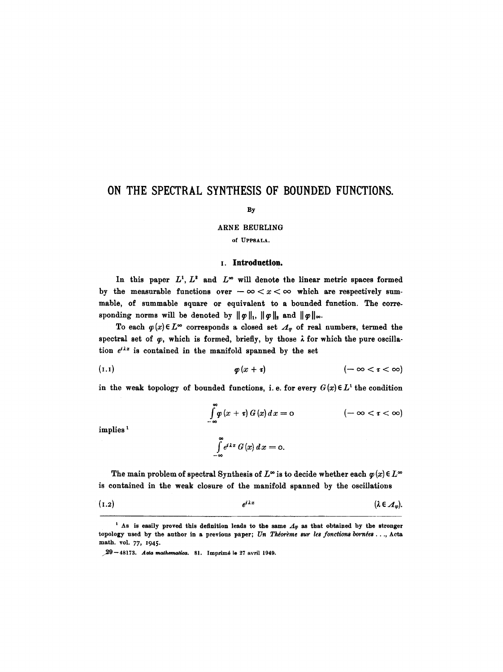# **ON THE SPECTRAL SYNTHESIS OF BOUNDED FUNCTIONS.**

### By

### ARNE BEURLING

# of UPPSALA.

## **I. Introduction.**

In this paper  $L^1$ ,  $L^2$  and  $L^{\infty}$  will denote the linear metric spaces formed by the measurable functions over  $-\infty < x < \infty$  which are respectively summable, of summable square or equivalent to a bounded function. The corresponding norms will be denoted by  $\|\varphi\|_1$ ,  $\|\varphi\|_2$  and  $\|\varphi\|_{\infty}$ .

To each  $\varphi(x) \in L^{\infty}$  corresponds a closed set  $\Lambda_{\varphi}$  of real numbers, termed the spectral set of  $\varphi$ , which is formed, briefly, by those  $\lambda$  for which the pure oscillation  $e^{i\lambda x}$  is contained in the manifold spanned by the set

(I.I) ~(X + g) (-- 00 < ~ < 00)

in the weak topology of bounded functions, i.e. for every  $G(x) \in L^1$  the condition

$$
\int_{-\infty}^{\infty} \varphi(x+\tau) G(x) dx = 0 \qquad (-\infty < \tau < \infty)
$$
  

$$
\int_{-\infty}^{\infty} e^{i\lambda x} G(x) dx = 0.
$$

implies<sup>1</sup>

*--00* 

The main problem of spectral Synthesis of  $L^{\infty}$  is to decide whether each  $\varphi(x) \in L^{\infty}$ is contained in the weak closure of the manifold spanned by the oscillations

$$
(1.2) \t e^{i \lambda x} \t (\lambda \in \mathcal{A}_{\varphi})
$$

<sup>&</sup>lt;sup>1</sup> As is easily proved this definition leads to the same  $A_{\varphi}$  as that obtained by the stronger topology used by the author in a previous paper; *Un Théorème sur les fonctions bornées..., Acta* math. vol. 77, I945.

 $29 - 48173$ . *Acta mathematica*. 81. Imprimé le 27 avril 1949.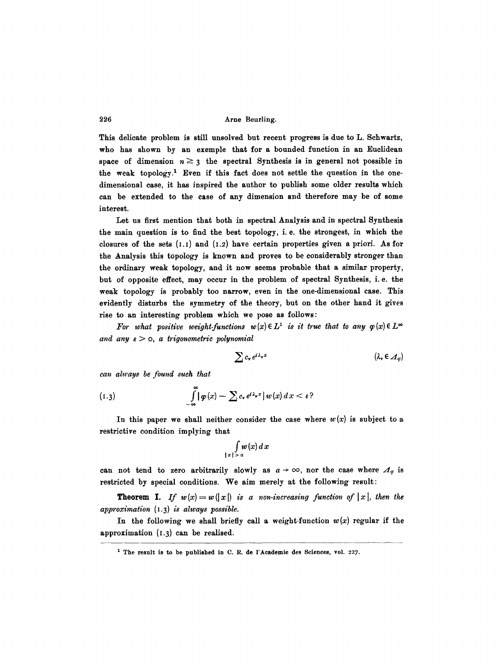This delicate problem is still unsolved but recent progress is due to L. Schwartz, who has shown by an exemple that for a bounded function in an Euclidean space of dimension  $n \geq 3$  the spectral Synthesis is in general not possible in the weak topology.<sup>1</sup> Even if this fact does not settle the question in the onedimensional case, it has inspired the author to publish some older results which can be extended to the case of any dimension and therefore may be of some interest.

Let us first mention that both in spectral Analysis and in spectral Synthesis the main question is to find the best topology, i. e. the strongest, in which the closures of the sets  $(1,1)$  and  $(1,2)$  have certain properties given a priori. As for the Analysis this topology is known and proves to be considerably stronger than the ordinary weak topology, and it now seems probable that a similar property, but of opposite effect, may occur in the problem of spectral Synthesis, i.e. the weak topology is probably too narrow, even in the one-dimensional case. This evidently disturbs the symmetry of the theory, but on the other hand it gives rise to an interesting problem which we pose as follows:

For what positive weight-functions  $w(x) \in L^1$  is it true that to any  $\varphi(x) \in L^{\infty}$ and any  $\varepsilon > 0$ , a trigonometric polynomial

$$
\sum c_{\nu} e^{i\lambda_{\nu}x} \qquad (\lambda_{\nu} \in \mathcal{A}_{\varphi})
$$

*tan always be found such that* 

(1.3) 
$$
\int_{-\infty}^{\infty} |\varphi(x) - \sum c_{\nu} e^{i\lambda_{\nu}x}| w(x) dx < \varepsilon
$$

In this paper we shall neither consider the case where  $w(x)$  is subject to a restrictive condition implying that

$$
\int\limits_{|x|>a}w(x)\,dx
$$

can not tend to zero arbitrarily slowly as  $a \rightarrow \infty$ , nor the case where  $\Lambda_{\varphi}$  is restricted by special conditions. We aim merely at the following result:

**Theorem 1.** If  $w(x) = w(|x|)$  is a non-increasing function of  $|x|$ , then the *approximation* (I.3) *is always possible.* 

In the following we shall briefly call a weight-function  $w(x)$  regular if the approximation (I.3) can be realised.

<sup>&</sup>lt;sup>1</sup> The result is to be published in C. R. de l'Academie des Sciences, vol. 227.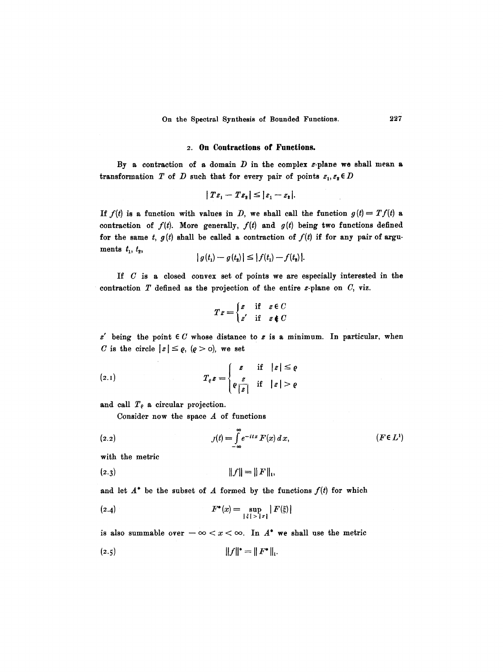#### **2. On Contractions of Functions.**

By a contraction of a domain  $D$  in the complex z-plane we shall mean a transformation T of D such that for every pair of points  $z_1, z_2 \in D$ 

$$
|Tz_1-Tz_2|\leq |z_1-z_2|.
$$

If  $f(t)$  is a function with values in D, we shall call the function  $g(t) = Tf(t)$  a contraction of  $f(t)$ . More generally,  $f(t)$  and  $g(t)$  being two functions defined for the same  $t, g(t)$  shall be called a contraction of  $f(t)$  if for any pair of arguments  $t_1, t_2,$ 

$$
|g(t_1) - g(t_2)| \leq |f(t_1) - f(t_2)|.
$$

If  $C$  is a closed convex set of points we are especially interested in the contraction  $T$  defined as the projection of the entire  $z$ -plane on  $C$ , viz.

$$
Tz = \begin{cases} z & \text{if } z \in C \\ z' & \text{if } z \notin C \end{cases}
$$

 $z'$  being the point  $\in C$  whose distance to  $z$  is a minimum. In particular, when C is the circle  $|z| \leq \varrho$ ,  $(\varrho > 0)$ , we set

$$
(2.1) \t\t T_{\varrho} z = \begin{cases} z & \text{if} \quad |z| \leq \varrho \\ \varrho \frac{z}{|z|} & \text{if} \quad |z| > \varrho \end{cases}
$$

and call  $T_{\varrho}$  a circular projection.

Consider now the space  $A$  of functions

(2.2) 
$$
J(t) = \int_{-\infty}^{\infty} e^{-itx} F(x) dx, \qquad (F \in L^{1})
$$

with the metric

$$
||f|| = ||F||_1,
$$

and let  $A^*$  be the subset of A formed by the functions  $f(t)$  for which

(2.4) 
$$
F^*(x) = \sup_{|\xi| > |x|} |F(\xi)|
$$

is also summable over  $-\infty < x < \infty$ . In  $A^*$  we shall use the metric

$$
||f||^* = ||F^*||_1.
$$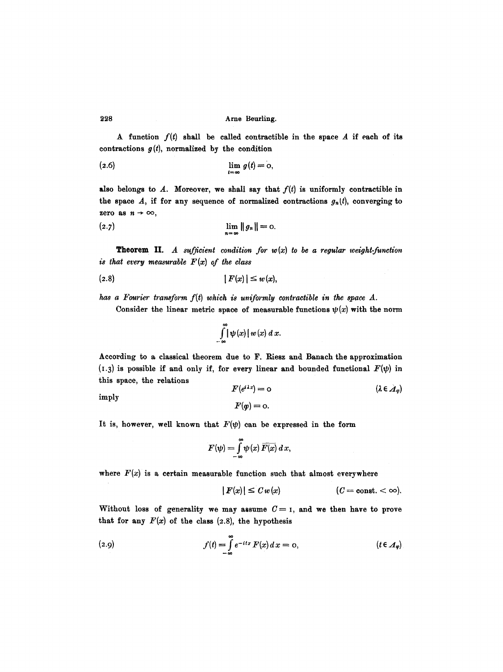A function  $f(t)$  shall be called contractible in the space A if each of its contractions  $g(t)$ , normalized by the condition

$$
\lim_{t = \infty} g(t) = 0,
$$

also belongs to A. Moreover, we shall say that  $f(t)$  is uniformly contractible in the space A, if for any sequence of normalized contractions  $g_n(t)$ , converging to zero as  $n \to \infty$ ,

(2.7) 
$$
\lim_{n = \infty} \|g_n\| = 0.
$$

**Theorem** II. *A sufficient condition for w(x) to be a regular weight-function is that every measurable F(x) of the class* 

$$
(2.8) \t\t\t\t |F(x)| \leq w(x),
$$

has a Fourier transform  $f(t)$  which is uniformly contractible in the space  $A$ .

Consider the linear metric space of measurable functions  $\psi(x)$  with the norm

$$
\int_{-\infty}^{\infty} |\psi(x)| w(x) dx.
$$

According to a classical theorem due to F. Riesz and Banach the approximation (1.3) is possible if and only if, for every linear and bounded functional  $F(\psi)$  in this space, the relations

 $F(\varphi) = 0.$ 

$$
F(e^{i\lambda x}) = 0 \qquad (\lambda \in \mathcal{A}_{\varphi})
$$

imply

It is, however, well known that 
$$
F(\psi)
$$
 can be expressed in the form

$$
F(\psi) = \int_{-\infty}^{\infty} \psi(x) \overline{F(x)} dx,
$$

where  $F(x)$  is a certain measurable function such that almost everywhere

$$
|F(x)| \leq C w(x) \qquad (C = \text{const.} < \infty).
$$

Without loss of generality we may assume  $C = I$ , and we then have to prove that for any  $F(x)$  of the class  $(2.8)$ , the hypothesis

(2.9) 
$$
f(t) = \int_{-\infty}^{\infty} e^{-itx} F(x) dx = 0, \qquad (t \in \mathcal{A}_{\varphi})
$$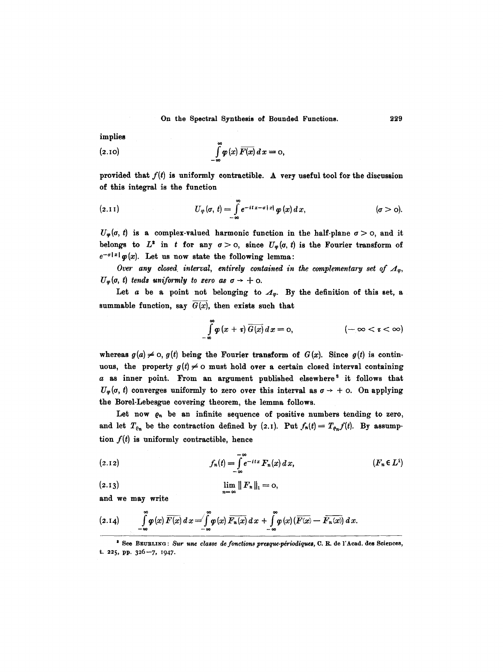implies

(2.10) 
$$
\int_{-\infty}^{\infty} \varphi(x) \overline{F(x)} dx = 0,
$$

provided that  $f(t)$  is uniformly contractible. A very useful tool for the discussion of this integral is the function

(2.11) 
$$
U_{\varphi}(\sigma, t) = \int_{-\infty}^{\infty} e^{-it x - \sigma |x|} \varphi(x) dx, \qquad (\sigma > 0).
$$

 $U_{\varphi}(\sigma, t)$  is a complex-valued harmonic function in the half-plane  $\sigma > 0$ , and it belongs to  $L^2$  in t for any  $\sigma > 0$ , since  $U_{\varphi}(\sigma, t)$  is the Fourier transform of  $e^{-\sigma |x|} \varphi(x)$ . Let us now state the following lemma:

Over any closed interval, entirely contained in the complementary set of  $A_{\varphi}$ ,  $U_{\varphi}(\sigma, t)$  tends uniformly to zero as  $\sigma \rightarrow +\infty$ .

Let a be a point not belonging to  $\mathcal{A}_{\varphi}$ . By the definition of this set, a summable function, say  $G(x)$ , then exists such that

$$
\int_{-\infty}^{\infty} \varphi(x+\tau) \, \overline{G(x)} \, dx = 0, \qquad \qquad (-\infty < \tau < \infty)
$$

whereas  $g(a) \neq 0$ ,  $g(t)$  being the Fourier transform of  $G(x)$ . Since  $g(t)$  is continuous, the property  $g(t) \neq 0$  must hold over a certain closed interval containing  $a$  as inner point. From an argument published elsewhere<sup>s</sup> it follows that  $U_{\varphi}(\sigma, t)$  converges uniformly to zero over this interval as  $\sigma \rightarrow +\infty$ . On applying the Borel-Lebesgue covering theorem, the lemma follows.

Let now  $\varrho_n$  be an infinite sequence of positive numbers tending to zero, and let  $T_{\varrho_n}$  be the contraction defined by (2.1). Put  $f_n(t)=T_{\varrho_n}f(t)$ . By assumption  $f(t)$  is uniformly contractible, hence

(2.12) 
$$
f_n(t) = \int_{-\infty}^{-\infty} e^{-itx} F_n(x) dx, \qquad (F_n \in L^1)
$$

(2.13) 
$$
\lim_{n = \infty} \| F_n \|_1 = 0,
$$

and we may write

$$
(2.14) \qquad \int\limits_{-\infty}^{\infty}\varphi(x)\,\overline{F(x)}\,dx=\int\limits_{-\infty}^{\infty}\varphi(x)\,\overline{F_n(x)}\,dx+\int\limits_{-\infty}^{\infty}\varphi(x)\,(\overline{F(x)}-\,\overline{F_n(x)})\,dx.
$$

229

<sup>&</sup>lt;sup>3</sup> See BEURLING : *Sur une classe de fonctions presque-périodiques*, C. R. de l'Acad. des Sciences, t. 225, pp. 326--7, i947.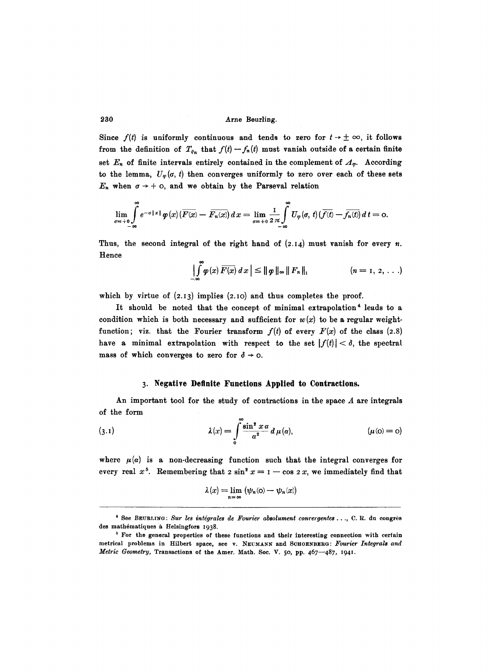Since  $f(t)$  is uniformly continuous and tends to zero for  $t \to \pm \infty$ , it follows from the definition of  $T_{\varrho_n}$  that  $f(t) - f_n(t)$  must vanish outside of a certain finite set  $E_n$  of finite intervals entirely contained in the complement of  $A_{\varphi}$ . According to the lemma,  $U_{\varphi}(\sigma, t)$  then converges uniformly to zero over each of these sets  $E_n$  when  $\sigma \rightarrow +$  0, and we obtain by the Parseval relation

$$
\lim_{\sigma=\pm 0}\int\limits_{-\infty}^{\infty}e^{-\sigma\|x\|}\varphi(x)\big(\overline{F(x)}-\overline{F_n(x)}\big)\,dx=\lim_{\sigma=\pm 0}\frac{1}{2\,\pi}\int\limits_{-\infty}^{\infty}U_\varphi(\sigma,\,t)\big(\overline{f(t)}-\overline{f_n(t)}\big)\,d\,t=\mathrm{0}.
$$

Thus, the second integral of the right hand of  $(2.14)$  must vanish for every n. Hence

$$
\left|\int\limits_{-\infty}^{\infty}\varphi(x)\,\overline{F(x)}\,dx\right|\leq\left\|\varphi\,\right\|_{\infty}\left\|\,F_{n}\,\right\|_{1}\qquad\qquad\left(n=1,\,2,\,\ldots\right)
$$

which by virtue of  $(2.13)$  implies  $(2.10)$  and thus completes the proof.

It should be noted that the concept of minimal extrapolation<sup>4</sup> leads to a condition which is both necessary and sufficient for  $w(x)$  to be a regular weightfunction; viz. that the Fourier transform  $f(t)$  of every  $F(x)$  of the class (2.8) have a minimal extrapolation with respect to the set  $|f(t)| < \delta$ , the spectral mass of which converges to zero for  $\delta \rightarrow \infty$ .

## **3. Negative Definite Functions Applied to Contractions.**

An important tool for the study of contractions in the space  $A$  are integrals of the form

(3.1) 
$$
\lambda(x) = \int_{0}^{\infty} \frac{\sin^2 x \alpha}{\alpha^2} d\mu(\alpha), \qquad (\mu(\alpha)) = 0
$$

where  $\mu(\alpha)$  is a non-decreasing function such that the integral converges for every real  $x^5$ . Remembering that  $2 \sin^2 x = 1 - \cos 2x$ , we immediately find that

$$
\lambda(x) = \lim_{n = \infty} (\psi_n(\mathbf{o}) - \psi_n(x))
$$

<sup>\*</sup> See BEURLING: Sur les intégrales de Fourier absolument convergentes..., C. R. du congrès des mathématiques à Helsingfors 1938.

 $5$  For the general properties of these functions and their interesting connection with certain metrical problems in Hilbert space, see v. NEUMANN and SCHOENBERG: Fourier Integrals and *Metric Geometry, Transactions of the Amer. Math. Soc. V. 50, pp. 467-487, 1941.*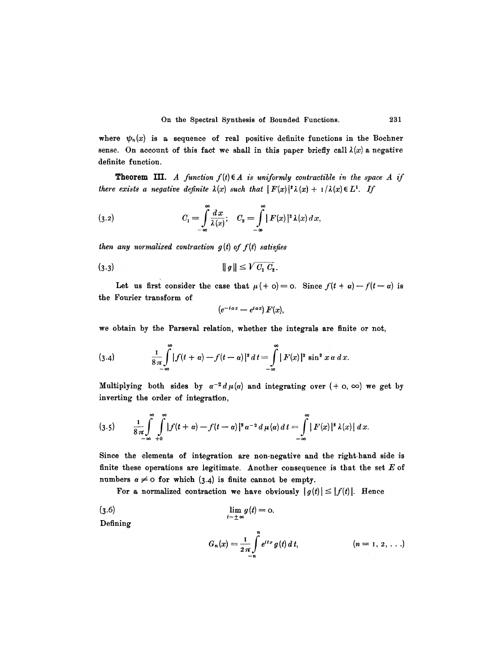where  $\psi_n(x)$  is a sequence of real positive definite functions in the Bochner sense. On account of this fact we shall in this paper briefly call  $\lambda(x)$  a negative definite function.

**Theorem III.** *A function*  $f(t) \in A$  *is uniformly contractible in the space A if there exists a negative definite*  $\lambda(x)$  *such that*  $|F(x)|^2 \lambda(x) + 1/\lambda(x) \in L^1$ . If

(3.2) 
$$
C_1 = \int_{-\infty}^{\infty} \frac{dx}{\lambda(x)}; \quad C_2 = \int_{-\infty}^{\infty} |F(x)|^2 \lambda(x) dx,
$$

*then any normalized contraction g(t) of f(t) satisfies* 

$$
(3.3) \t\t\t ||g|| \leq \sqrt{C_1 C_2}.
$$

Let us first consider the case that  $\mu$  (+ o) = o. Since  $f(t + \alpha) - f(t - \alpha)$  is the Fourier transform of

$$
(e^{-i\alpha x}-e^{i\alpha x})F(x),
$$

we obtain by the Parseval relation, whether the integrals are finite or not,

(3.4) 
$$
\frac{1}{8\pi} \int_{-\infty}^{\infty} |f(t + \alpha) - f(t - \alpha)|^2 dt = \int_{-\infty}^{\infty} |F(x)|^2 \sin^2 x \alpha dx.
$$

Multiplying both sides by  $\alpha^{-2} d \mu(\alpha)$  and integrating over  $(+ \, \text{o}, \, \infty)$  we get by inverting the order of integration,

$$
(3.5) \qquad \frac{1}{8\pi}\int_{-\infty}^{\infty}\int_{+0}^{\infty}\left|f(t+\alpha)-f(t-\alpha)\right|^{2}\alpha^{-2}d\mu(\alpha)\,dt=\int_{-\infty}^{\infty}\left|F(x)\right|^{2}\lambda(x)\left|\,dx\right|
$$

Since the elements of integration are non-negative and the right-hand side is finite these operations are legitimate. Another consequence is that the set  $E$  of numbers  $\alpha \neq 0$  for which (3.4) is finite cannot be empty.

For a normalized contraction we have obviously  $|g(t)| \leq |f(t)|$ . Hence

(3.6)  
\n
$$
\lim_{t=\pm \infty} g(t) = 0.
$$
\nDefining  
\n
$$
G_n(x) = \frac{1}{2\pi} \int_{-n}^{n} e^{itx} g(t) dt, \qquad (n = 1, 2, ...)
$$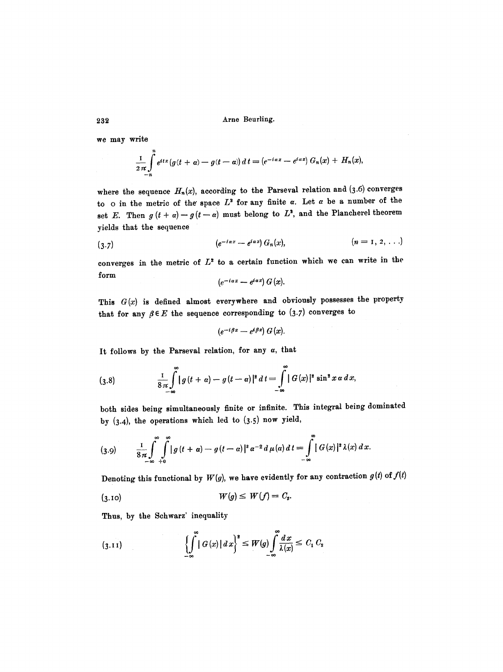we may write

$$
\frac{1}{2\pi}\int_{-n}^{n}e^{itx}\left(g(t+\alpha)-g(t-\alpha)\right)dt=\left(e^{-i\alpha x}-e^{i\alpha x}\right)G_n(x)+H_n(x),
$$

where the sequence  $H_n(x)$ , according to the Parseval relation and (3.6) converges to o in the metric of the space  $L^2$  for any finite  $\alpha$ . Let  $\alpha$  be a number of the set E. Then  $g(t + \alpha) - g(t - \alpha)$  must belong to  $L^2$ , and the Plancherel theorem yields that the sequence

$$
(3.7) \qquad (e^{-i\alpha x}-e^{i\alpha x}) G_n(x), \qquad (n=1, 2, \ldots)
$$

converges in the metric of  $L^2$  to a certain function which we can write in the form

$$
(e^{-iax}-e^{iax}) G(x).
$$

This  $G(x)$  is defined almost everywhere and obviously possesses the property that for any  $\beta \in E$  the sequence corresponding to (3.7) converges to

$$
(e^{-i\beta x}-e^{i\beta x}) G(x).
$$

It follows by the Parseval relation, for any  $\alpha$ , that

(3.8) 
$$
\frac{1}{8\pi}\int_{-\infty}^{\infty} |g(t+a)-g(t-a)|^2 dt = \int_{-\infty}^{\infty} |G(x)|^2 \sin^2 x \alpha dx,
$$

both sides being simultaneously finite or infinite. This integral being dominated by  $(3.4)$ , the operations which led to  $(3.5)$  now yield,

$$
(3.9) \qquad \frac{1}{8\pi}\int_{-\infty}^{\infty}\int_{+0}^{\infty}\left|g\left(t+\alpha\right)-g\left(t-\alpha\right)\right|^{2}\alpha^{-2}d\,\mu(\alpha)\,d\,t=\int_{-\infty}^{\infty}\left|G\left(x\right)\right|^{2}\lambda(x)\,dx.
$$

Denoting this functional by  $W(g)$ , we have evidently for any contraction  $g(t)$  of  $f(t)$ 

$$
(3.10) \t\t W(g) \leq W(f) = C_2.
$$

Thus, by the Schwarz' inequality

$$
\left\{\int_{-\infty}^{\infty} |G(x)| dx\right\}^2 \leq W(g) \int_{-\infty}^{\infty} \frac{dx}{\lambda(x)} \leq C_1 C_2
$$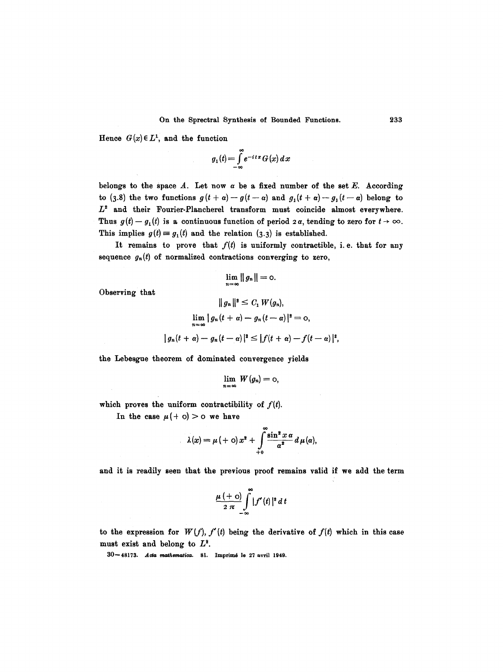Hence  $G(x) \in L^1$ , and the function

$$
g_1(t) = \int_{-\infty}^{\infty} e^{-itx} G(x) dx
$$

belongs to the space  $A$ . Let now  $\alpha$  be a fixed number of the set  $E$ . According to (3.8) the two functions  $g(t + a) - g(t - a)$  and  $g_1(t + a) - g_1(t - a)$  belong to  $L^2$  and their Fourier-Plancherel transform must coincide almost everywhere. Thus  $g(t) - g_1(t)$  is a continuous function of period  $2\alpha$ , tending to zero for  $t \to \infty$ . This implies  $g(t) = g_1(t)$  and the relation (3.3) is established.

It remains to prove that  $f(t)$  is uniformly contractible, i.e. that for any sequence  $g_n(t)$  of normalized contractions converging to zero,

$$
\lim_{n=\infty}||g_n||=\text{0}.
$$

Observing that

$$
||g_n||^2 \leq C_1 W(g_n),
$$
  
\n
$$
\lim_{n=\infty} |g_n(t+a) - g_n(t-a)|^2 = 0,
$$
  
\n
$$
|g_n(t+a) - g_n(t-a)|^2 \leq |f(t+a) - f(t-a)|^2,
$$

the Lebesgue theorem of dominated convergence yields

$$
\lim_{n=\infty} W(g_n)=0,
$$

which proves the uniform contractibility of  $f(t)$ .

In the case  $\mu$ (+ o) > o we have

 $\sim$ 

$$
\lambda(x) = \mu(\alpha) + \lambda^2 + \int_{0}^{\infty} \frac{\sin^2 x \alpha}{\alpha^2} d\mu(\alpha),
$$

and it is readily seen that the previous proof remains valid if we add the term

$$
\frac{\mu(+\mathrm{o})}{2\pi}\int\limits_{-\infty}^{\infty}|f'(t)|^2\,dt
$$

to the expression for  $W(f)$ ,  $f'(t)$  being the derivative of  $f(t)$  which in this case must exist and belong to  $L^2$ .

 $30 - 48173$ . Acta mathematica. 81. Imprimé le 27 avril 1949.

**233**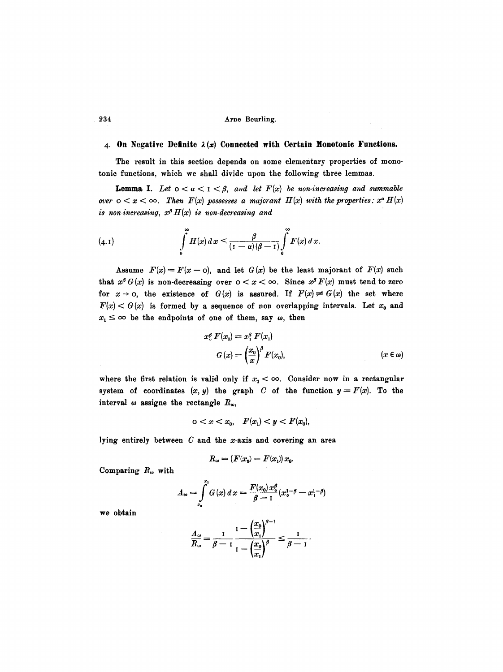# 4. On Negative Definite  $\lambda(x)$  Connected with Certain Monotonic Functions.

The result in this section depends on some elementary properties of monotonic functions, which we shall divide upon the following three lemmas.

**Lemma I.** Let  $0 < \alpha < 1 < \beta$ , and let  $F(x)$  be non-increasing and summable *over*  $o < x < \infty$ . Then  $F(x)$  possesses a majorant  $H(x)$  with the properties:  $x^a H(x)$ *is non-increasing,*  $x^{\beta} H(x)$  *is non-decreasing and* 

(4.1) 
$$
\int_{0}^{\infty} H(x) dx \leq \frac{\beta}{(1-\alpha)(\beta-1)} \int_{0}^{\infty} F(x) dx.
$$

Assume  $F(x)=F(x-\mathrm{o})$ , and let  $G(x)$  be the least majorant of  $F(x)$  such that  $x^{\beta}G(x)$  is non-decreasing over  $0 < x < \infty$ . Since  $x^{\beta}F(x)$  must tend to zero for  $x \to 0$ , the existence of  $G(x)$  is assured. If  $F(x) \neq G(x)$  the set where  $F(x) < G(x)$  is formed by a sequence of non overlapping intervals. Let  $x_0$  and  $x_1 \leq \infty$  be the endpoints of one of them, say  $\omega$ , then

$$
x_0^{\beta} F(x_0) = x_1^{\beta} F(x_1)
$$
  
\n
$$
G(x) = \left(\frac{x_0}{x}\right)^{\beta} F(x_0), \qquad (x \in \omega)
$$

where the first relation is valid only if  $x_1 < \infty$ . Consider now in a rectangular system of coordinates  $(x, y)$  the graph C of the function  $y = F(x)$ . To the interval  $\omega$  assigne the rectangle  $R_{\omega}$ ,

$$
0 < x < x_0, \quad F(x_1) < y < F(x_0),
$$

lying entirely between  $C$  and the x-axis and covering an area

$$
R_{\omega} = (F(x_0) - F(x_1)) x_0.
$$

Comparing  $R_{\omega}$  with

$$
A_{\omega} = \int_{x_0}^{x_1} G(x) dx = \frac{F(x_0) x_0^{\beta}}{\beta - 1} (x_0^{1-\beta} - x_1^{1-\beta})
$$

we obtain

$$
\frac{A_{\omega}}{R_{\omega}} = \frac{1}{\beta - 1} \frac{1 - \left(\frac{x_0}{x_1}\right)^{\beta - 1}}{1 - \left(\frac{x_0}{x_1}\right)^{\beta}} \le \frac{1}{\beta - 1}.
$$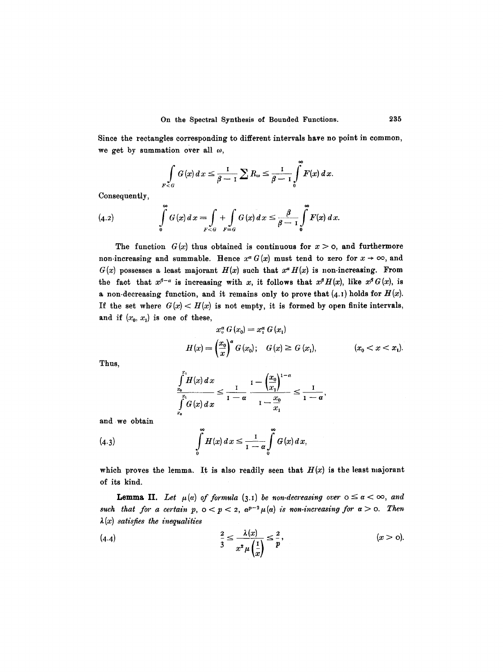Since the rectangles corresponding to different intervals have no point in common, we get by summation over all  $\omega$ ,

$$
\int\limits_{F<\sigma}G(x)\,dx\leq \frac{1}{\beta-1}\sum R_{\omega}\leq \frac{1}{\beta-1}\int\limits_{0}^{\infty}F(x)\,dx.
$$

Consequently,

(4.2) 
$$
\int_{0}^{\infty} G(x) dx = \int_{F < G} + \int_{F = G} G(x) dx \leq \frac{\beta}{\beta - 1} \int_{0}^{\infty} F(x) dx.
$$

The function  $G(x)$  thus obtained is continuous for  $x > 0$ , and furthermore non-increasing and summable. Hence  $x^{\alpha} G(x)$  must tend to zero for  $x \to \infty$ , and  $G(x)$  possesses a least majorant  $H(x)$  such that  $x^{\alpha}H(x)$  is non-increasing. From the fact that  $x^{\beta-\alpha}$  is increasing with x, it follows that  $x^{\beta}H(x)$ , like  $x^{\beta}G(x)$ , is a non-decreasing function, and it remains only to prove that  $(4.1)$  holds for  $H(x)$ . If the set where  $G(x) < H(x)$  is not empty, it is formed by open finite intervals, and if  $(x_0, x_1)$  is one of these,

$$
x_{\circ}^{\alpha} G(x_{0}) = x_{1}^{\alpha} G(x_{1})
$$
  

$$
H(x) = \left(\frac{x_{0}}{x}\right)^{\alpha} G(x_{0}); \quad G(x) \ge G(x_{1}), \quad (x_{0} < x < x_{1}).
$$

Thus,

$$
\int_{\frac{x_0}{x_0}}^{\frac{x_1}{x_1}} H(x) dx \leq \frac{1}{1-\alpha} \frac{1-\left(\frac{x_0}{x_1}\right)^{1-\alpha}}{1-\frac{x_0}{x_1}} \leq \frac{1}{1-\alpha},
$$

and we obtain

(4.3) 
$$
\int_{0}^{\infty} H(x) dx \leq \frac{1}{1-\alpha} \int_{0}^{\infty} G(x) dx,
$$

which proves the lemma. It is also readily seen that  $H(x)$  is the least majorant of its kind.

**Lemma II.** Let  $\mu(\alpha)$  of formula (3.1) be non-decreasing over  $0 \leq \alpha < \infty$ , and *such that for a certain p,*  $0 < p < 2$ ,  $\alpha^{p-2} \mu(\alpha)$  *is non-increasing for*  $\alpha > 0$ . Then  $\lambda(x)$  satisfies the *inequalities* 

$$
\frac{2}{3} \leq \frac{\lambda(x)}{x^2 \mu\left(\frac{1}{x}\right)} \leq \frac{2}{p}, \qquad (x > 0).
$$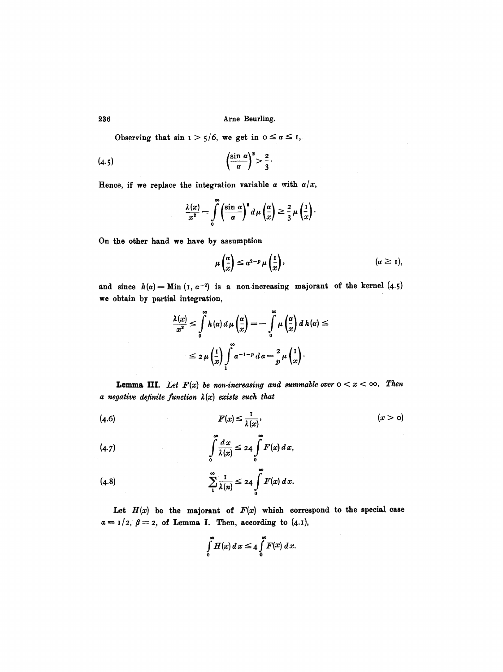Observing that  $\sin 1 > \frac{1}{5}$ , we get in  $0 \le \alpha \le 1$ ,

$$
(4.5) \qquad \qquad \left(\frac{\sin a}{a}\right)^2 > \frac{2}{3}.
$$

Hence, if we replace the integration variable  $\alpha$  with  $\alpha/x$ ,

$$
\frac{\lambda(x)}{x^2} = \int\limits_0^\infty \left(\frac{\sin\,\alpha}{a}\right)^2 d\mu\left(\frac{a}{x}\right) \geq \frac{2}{3}\,\mu\left(\frac{1}{x}\right).
$$

On the other hand we have by assumption

$$
\mu\left(\frac{\alpha}{x}\right) \leq \alpha^{2-p} \mu\left(\frac{1}{x}\right), \qquad (\alpha \geq 1),
$$

and since  $h(\alpha) =$ Min (I,  $\alpha^{-2}$ ) is a non-increasing majorant of the kernel (4.5) we obtain by partial integration,

$$
\frac{\lambda(x)}{x^2} \le \int_0^{\infty} h(\alpha) d\mu \left(\frac{\alpha}{x}\right) = -\int_0^{\infty} \mu \left(\frac{\alpha}{x}\right) d h(\alpha) \le
$$
  

$$
\le 2 \mu \left(\frac{1}{x}\right) \int_1^{\infty} \alpha^{-1-p} d\alpha = \frac{2}{p} \mu \left(\frac{1}{x}\right).
$$

**Lemma III.** Let  $F(x)$  be non-increasing and summable over  $0 < x < \infty$ . Then *a negative definite function* 2(x) *exists such that* 

$$
(4.6) \t\t\t F(x) \le \frac{1}{\lambda(x)}, \t\t\t (x > 0)
$$

$$
\int\limits_0^1\frac{dx}{\lambda(x)}\leq 24\int\limits_0^1F(x)\,dx,
$$

$$
\sum_{1}^{\infty} \frac{1}{\lambda(n)} \leq 24 \int_{0}^{\infty} F(x) dx.
$$

Let  $H(x)$  be the majorant of  $F(x)$  which correspond to the special case  $\alpha = 1/2$ ,  $\beta = 2$ , of Lemma I. Then, according to (4.1),

$$
\int\limits_{0}^{\infty} H(x)\,d\,x \leq 4\int\limits_{0}^{\infty} F(x)\,d\,x.
$$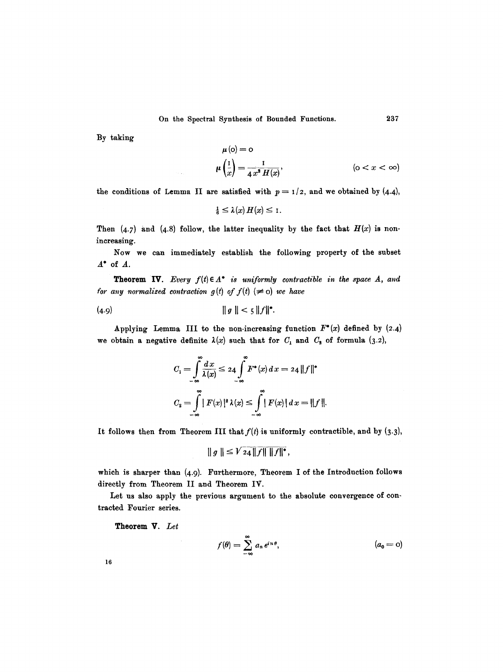By taking

$$
\mu(\mathbf{o}) = \mathbf{o}
$$
  

$$
\mu\left(\frac{1}{x}\right) = \frac{1}{4x^2 H(x)}, \qquad (\mathbf{o} < x < \infty)
$$

the conditions of Lemma II are satisfied with  $p = 1/2$ , and we obtained by (4.4),

$$
\tfrac{1}{6} \leq \lambda(x) H(x) \leq 1.
$$

Then  $(4.7)$  and  $(4.8)$  follow, the latter inequality by the fact that  $H(x)$  is nonincreasing.

Now we can immediately establish the following property of the subset  $A^*$  of  $A$ .

**Theorem IV.** *Every*  $f(t) \in A^*$  *is uniformly contractible in the space A, and for any normalized contraction*  $g(t)$  *of*  $f(t)$  *(* $\neq$  *o) we have* 

$$
(4.9) \t\t\t ||g|| < 5 ||f||^*.
$$

Applying Lemma III to the non-increasing function  $F^*(x)$  defined by (2.4) we obtain a negative definite  $\lambda(x)$  such that for  $C_1$  and  $C_2$  of formula (3.2),

$$
C_1 = \int_{-\infty}^{\infty} \frac{dx}{\lambda(x)} \le 24 \int_{-\infty}^{\infty} F^*(x) dx = 24 ||f||^*
$$
  

$$
C_2 = \int_{-\infty}^{\infty} |F(x)|^2 \lambda(x) \le \int_{-\infty}^{\infty} |F(x)| dx = ||f||.
$$

It follows then from Theorem III that  $f(t)$  is uniformly contractible, and by (3.3),

$$
\|g\| \le V_{24} \|f\| \|f\|^*,
$$

which is sharper than  $(4.9)$ . Furthermore, Theorem I of the Introduction follows directly from Theorem II and Theorem IV.

Let us also apply the previous argument to the absolute convergence of contracted Fourier series.

**Theorem** V. *Let* 

$$
f(\theta) = \sum_{-\infty}^{\infty} a_n e^{in\theta}, \qquad (a_0 = 0)
$$

16